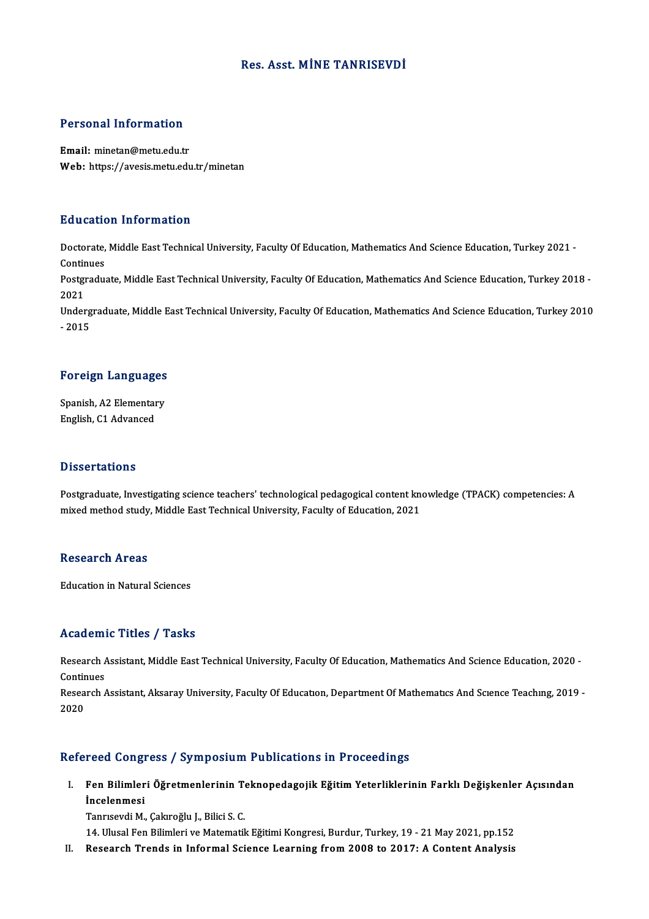## Res. Asst. MİNE TANRISEVDİ

# Personal Information

Personal Information<br>Email: minetan@metu.edu.tr<br>Web: https://avesis.metu.edu Email: minetan@metu.edu.tr<br>Web: https://avesis.metu.edu.tr/minetan

### Education Information

**Education Information**<br>Doctorate, Middle East Technical University, Faculty Of Education, Mathematics And Science Education, Turkey 2021 -<br>Continues Doctorate,<br>Continues<br>Postaredus Doctorate, Middle East Technical University, Faculty Of Education, Mathematics And Science Education, Turkey 2021 -<br>Continues<br>Postgraduate, Middle East Technical University, Faculty Of Education, Mathematics And Science Ed

Conti<mark>r</mark><br>Postgi<br>2021<br>Under Postgraduate, Middle East Technical University, Faculty Of Education, Mathematics And Science Education, Turkey 2018 -<br>2021<br>Undergraduate, Middle East Technical University, Faculty Of Education, Mathematics And Science Edu

2021<br>Undergraduate, Middle East Technical University, Faculty Of Education, Mathematics And Science Education, Turkey 2010<br>- 2015

# -<sub>2015</sub><br>Foreign Languages

F<mark>oreign Languages</mark><br>Spanish, A2 Elementary<br>English C1 Advanced Spanish, A2 Elementary<br>English, C1 Advanced

### **Dissertations**

Dissertations<br>Postgraduate, Investigating science teachers' technological pedagogical content knowledge (TPACK) competencies: A<br>mixed method study, Middle Fest Technical University, Fesulty of Education, 2021 mixed cattoms<br>Postgraduate, Investigating science teachers' technological pedagogical content kn<br>mixed method study, Middle East Technical University, Faculty of Education, 2021 mixed method study, Middle East Technical University, Faculty of Education, 2021<br>Research Areas

Education in Natural Sciences

### Academic Titles / Tasks

A**cademic Titles / Tasks**<br>Research Assistant, Middle East Technical University, Faculty Of Education, Mathematics And Science Education, 2020 -<br>Continues Research A<br>Continues<br>Pesearch A Research Assistant, Middle East Technical University, Faculty Of Education, Mathematics And Science Education, 2020 -<br>Continues<br>Research Assistant, Aksaray University, Faculty Of Education, Department Of Mathematics And Sc

Contir<br>Resea<br>2020

## 2020<br>Refereed Congress / Symposium Publications in Proceedings

efereed Congress / Symposium Publications in Proceedings<br>I. Fen Bilimleri Öğretmenlerinin Teknopedagojik Eğitim Yeterliklerinin Farklı Değişkenler Açısından<br>İncelenmesi reed dong.<br>Fen Bilimler<br>İncelenmesi Fen Bilimleri Öğretmenlerinin T<br>İncelenmesi<br>Tanrısevdi M., Çakıroğlu J., Bilici S. C.<br>14. Ulusal Fen Bilimleri ve Matematil **İncelenmesi**<br>Tanrısevdi M., Çakıroğlu J., Bilici S. C.<br>14. Ulusal Fen Bilimleri ve Matematik Eğitimi Kongresi, Burdur, Turkey, 19 - 21 May 2021, pp.152

II. Research Trends in Informal Science Learning from 2008 to 2017: A Content Analysis